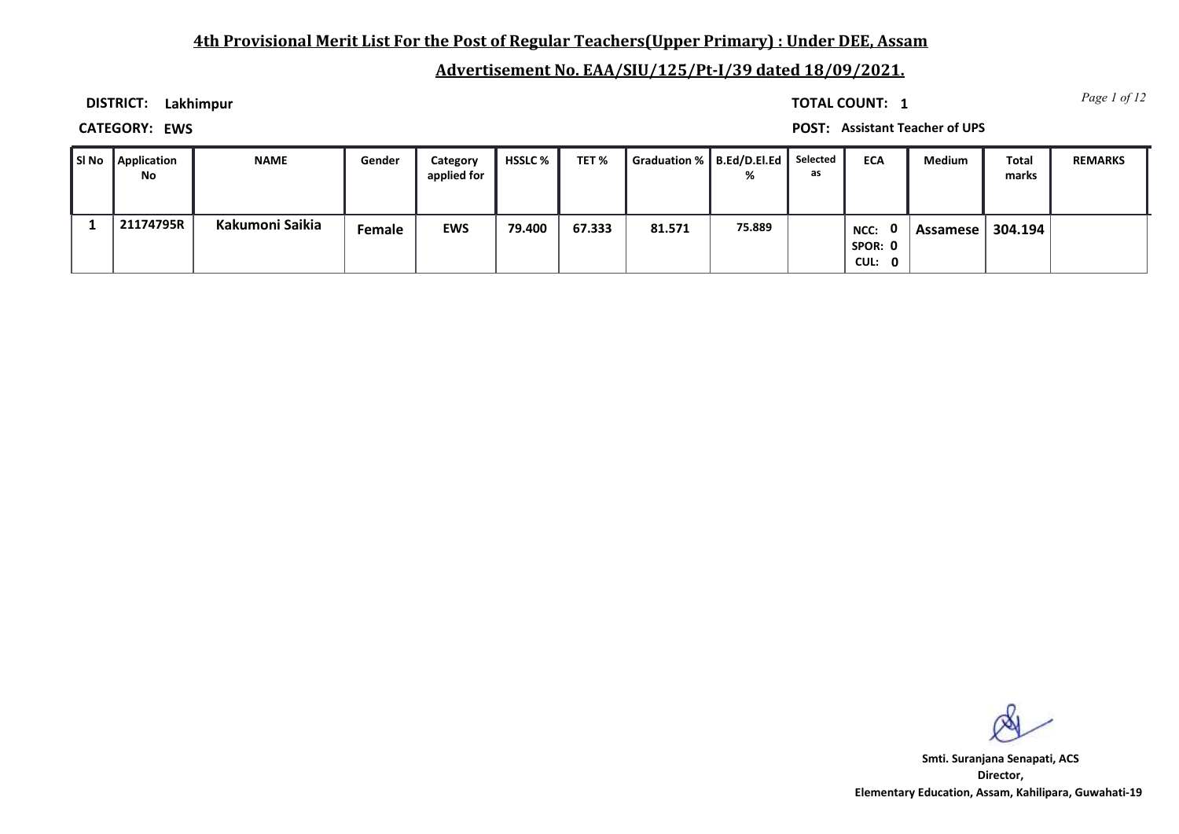# **4th Provisional Merit List For the Post of Regular Teachers(Upper Primary) : Under DEE, Assam**

# **Advertisement No. EAA/SIU/125/Pt-I/39 dated 18/09/2021.**

**DISTRICT: Lakhimpur**

*Page 1 of 12* **TOTAL COUNT: 1**

**CATEGORY: EWS POST: Assistant Teacher of UPS**

| ∦Sl No′ | Application<br><b>No</b> | <b>NAME</b>     | Gender | Category<br>applied for | <b>HSSLC</b> % | TET %  | Graduation %   B.Ed/D.El.Ed | %      | Selected<br>as | <b>ECA</b>                | <b>Medium</b> | Total<br>marks | <b>REMARKS</b> |
|---------|--------------------------|-----------------|--------|-------------------------|----------------|--------|-----------------------------|--------|----------------|---------------------------|---------------|----------------|----------------|
|         | 21174795R                | Kakumoni Saikia | Female | <b>EWS</b>              | 79.400         | 67.333 | 81.571                      | 75.889 |                | NCC:<br>SPOR: 0<br>CUL: 0 | Assamese      | 304.194        |                |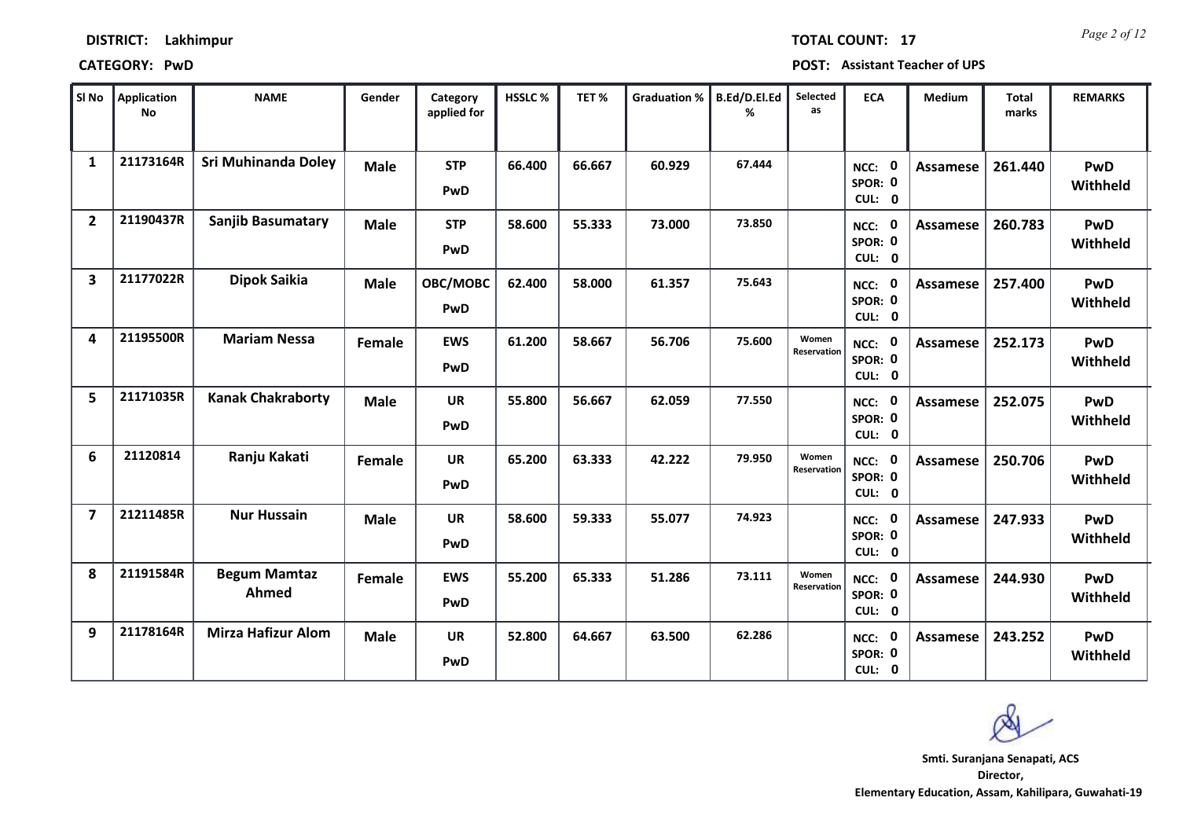## **CATEGORY: PwD POST: Assistant Teacher of UPS**

| SI No        | Application<br>No | <b>NAME</b>                  | Gender      | Category<br>applied for | HSSLC% | TET%   | <b>Graduation %</b> | B.Ed/D.El.Ed<br>% | Selected<br>as              | <b>ECA</b>                                | <b>Medium</b>   | <b>Total</b><br>marks | <b>REMARKS</b>         |
|--------------|-------------------|------------------------------|-------------|-------------------------|--------|--------|---------------------|-------------------|-----------------------------|-------------------------------------------|-----------------|-----------------------|------------------------|
| $\mathbf{1}$ | 21173164R         | <b>Sri Muhinanda Doley</b>   | <b>Male</b> | <b>STP</b><br>PwD       | 66.400 | 66.667 | 60.929              | 67.444            |                             | $\mathbf 0$<br>NCC:<br>SPOR: 0<br>CUL: 0  | <b>Assamese</b> | 261.440               | PwD<br>Withheld        |
| $\mathbf{2}$ | 21190437R         | <b>Sanjib Basumatary</b>     | <b>Male</b> | <b>STP</b><br>PwD       | 58.600 | 55.333 | 73.000              | 73.850            |                             | NCC: 0<br>SPOR: 0<br>CUL: 0               | Assamese        | 260.783               | PwD<br>Withheld        |
| 3            | 21177022R         | <b>Dipok Saikia</b>          | <b>Male</b> | OBC/MOBC<br>PwD         | 62.400 | 58.000 | 61.357              | 75.643            |                             | NCC: 0<br>SPOR: 0<br>CUL: 0               | Assamese        | 257.400               | PwD<br>Withheld        |
| 4            | 21195500R         | <b>Mariam Nessa</b>          | Female      | <b>EWS</b><br>PwD       | 61.200 | 58.667 | 56.706              | 75.600            | Women<br>Reservation        | $\mathbf{0}$<br>NCC:<br>SPOR: 0<br>CUL: 0 | Assamese        | 252.173               | PwD<br>Withheld        |
| 5            | 21171035R         | <b>Kanak Chakraborty</b>     | <b>Male</b> | <b>UR</b><br>PwD        | 55.800 | 56.667 | 62.059              | 77.550            |                             | NCC: 0<br>SPOR: 0<br>CUL: 0               | <b>Assamese</b> | 252.075               | PwD<br>Withheld        |
| 6            | 21120814          | Ranju Kakati                 | Female      | <b>UR</b><br>PwD        | 65.200 | 63.333 | 42.222              | 79.950            | Women<br><b>Reservation</b> | NCC: 0<br>SPOR: 0<br>CUL: 0               | Assamese        | 250.706               | PwD<br>Withheld        |
| 7            | 21211485R         | <b>Nur Hussain</b>           | <b>Male</b> | <b>UR</b><br>PwD        | 58.600 | 59.333 | 55.077              | 74.923            |                             | NCC: 0<br>SPOR: 0<br>CUL: 0               | Assamese        | 247.933               | <b>PwD</b><br>Withheld |
| 8            | 21191584R         | <b>Begum Mamtaz</b><br>Ahmed | Female      | <b>EWS</b><br>PwD       | 55.200 | 65.333 | 51.286              | 73.111            | Women<br>Reservation        | <b>NCC: 0</b><br>SPOR: 0<br>CUL: 0        | <b>Assamese</b> | 244.930               | PwD<br>Withheld        |
| 9            | 21178164R         | <b>Mirza Hafizur Alom</b>    | <b>Male</b> | UR<br>PwD               | 52.800 | 64.667 | 63.500              | 62.286            |                             | 0<br>NCC:<br>SPOR: 0<br>CUL: 0            | Assamese        | 243.252               | <b>PwD</b><br>Withheld |

*Page 2 of 12* **TOTAL COUNT: 17**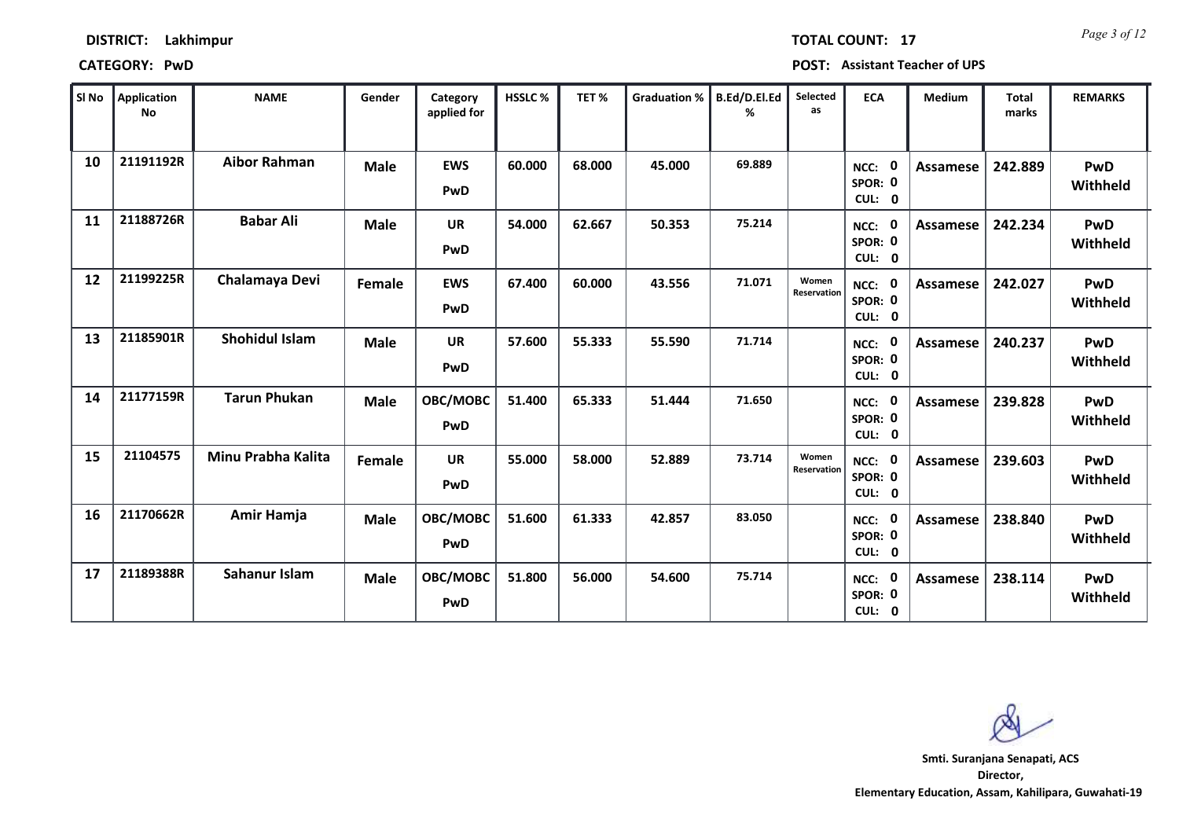| SI No | Application<br>No | <b>NAME</b>           | Gender      | Category<br>applied for | <b>HSSLC%</b> | TET%   | <b>Graduation %</b> | B.Ed/D.El.Ed<br>℅ | Selected<br>as              | <b>ECA</b>                               | <b>Medium</b> | <b>Total</b><br>marks | <b>REMARKS</b>         |
|-------|-------------------|-----------------------|-------------|-------------------------|---------------|--------|---------------------|-------------------|-----------------------------|------------------------------------------|---------------|-----------------------|------------------------|
| 10    | 21191192R         | <b>Aibor Rahman</b>   | <b>Male</b> | <b>EWS</b><br>PwD       | 60.000        | 68.000 | 45.000              | 69.889            |                             | NCC: 0<br>SPOR: 0<br>CUL: 0              | Assamese      | 242.889               | PwD<br>Withheld        |
| 11    | 21188726R         | <b>Babar Ali</b>      | <b>Male</b> | <b>UR</b><br>PwD        | 54.000        | 62.667 | 50.353              | 75.214            |                             | $\mathbf 0$<br>NCC:<br>SPOR: 0<br>CUL: 0 | Assamese      | 242.234               | PwD<br>Withheld        |
| 12    | 21199225R         | Chalamaya Devi        | Female      | <b>EWS</b><br>PwD       | 67.400        | 60.000 | 43.556              | 71.071            | Women<br><b>Reservation</b> | NCC: 0<br>SPOR: 0<br>CUL: 0              | Assamese      | 242.027               | PwD<br>Withheld        |
| 13    | 21185901R         | <b>Shohidul Islam</b> | <b>Male</b> | <b>UR</b><br>PwD        | 57.600        | 55.333 | 55.590              | 71.714            |                             | $\mathbf 0$<br>NCC:<br>SPOR: 0<br>CUL: 0 | Assamese      | 240.237               | <b>PwD</b><br>Withheld |
| 14    | 21177159R         | <b>Tarun Phukan</b>   | <b>Male</b> | OBC/MOBC<br>PwD         | 51.400        | 65.333 | 51.444              | 71.650            |                             | $\mathbf 0$<br>NCC:<br>SPOR: 0<br>CUL: 0 | Assamese      | 239.828               | PwD<br>Withheld        |
| 15    | 21104575          | Minu Prabha Kalita    | Female      | <b>UR</b><br>PwD        | 55.000        | 58.000 | 52.889              | 73.714            | Women<br>Reservation        | NCC: 0<br>SPOR: 0<br>CUL: 0              | Assamese      | 239.603               | PwD<br>Withheld        |
| 16    | 21170662R         | Amir Hamja            | <b>Male</b> | OBC/MOBC<br>PwD         | 51.600        | 61.333 | 42.857              | 83.050            |                             | $\mathbf 0$<br>NCC:<br>SPOR: 0<br>CUL: 0 | Assamese      | 238.840               | PwD<br>Withheld        |
| 17    | 21189388R         | Sahanur Islam         | <b>Male</b> | OBC/MOBC<br>PwD         | 51.800        | 56.000 | 54.600              | 75.714            |                             | $\mathbf 0$<br>NCC:<br>SPOR: 0<br>CUL: 0 | Assamese      | 238.114               | PwD<br>Withheld        |

**Director, Elementary Education, Assam, Kahilipara, Guwahati-19 Smti. Suranjana Senapati, ACS**

T

**DISTRICT: Lakhimpur**

## **CATEGORY: PwD POST: Assistant Teacher of UPS**

*Page 3 of 12* **TOTAL COUNT: 17**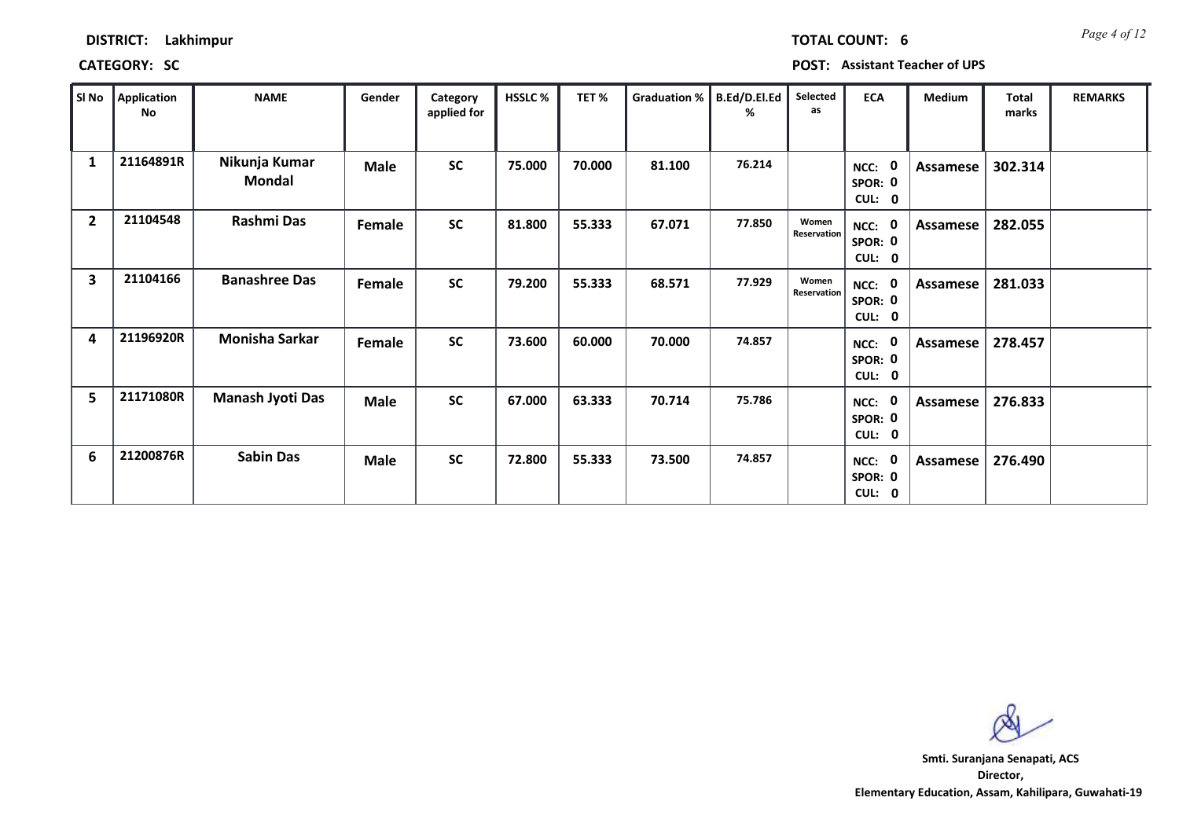*Page 4 of 12* **TOTAL COUNT: 6**

**CATEGORY: SC POST: Assistant Teacher of UPS**

| SI No          | Application<br><b>No</b> | <b>NAME</b>                    | Gender      | Category<br>applied for | <b>HSSLC%</b> | TET%   | <b>Graduation %</b> | B.Ed/D.El.Ed<br>% | Selected<br>as       | <b>ECA</b>                       | Medium   | <b>Total</b><br>marks | <b>REMARKS</b> |
|----------------|--------------------------|--------------------------------|-------------|-------------------------|---------------|--------|---------------------|-------------------|----------------------|----------------------------------|----------|-----------------------|----------------|
| $\mathbf{1}$   | 21164891R                | Nikunja Kumar<br><b>Mondal</b> | <b>Male</b> | <b>SC</b>               | 75.000        | 70.000 | 81.100              | 76.214            |                      | NCC: 0<br>SPOR: 0<br>CUL: 0      | Assamese | 302.314               |                |
| $\overline{2}$ | 21104548                 | Rashmi Das                     | Female      | <b>SC</b>               | 81.800        | 55.333 | 67.071              | 77.850            | Women<br>Reservation | NCC: 0<br>SPOR: 0<br>CUL: 0      | Assamese | 282.055               |                |
| 3              | 21104166                 | <b>Banashree Das</b>           | Female      | <b>SC</b>               | 79.200        | 55.333 | 68.571              | 77.929            | Women<br>Reservation | NCC: 0<br>SPOR: 0<br>CUL: 0      | Assamese | 281.033               |                |
| 4              | 21196920R                | <b>Monisha Sarkar</b>          | Female      | <b>SC</b>               | 73.600        | 60.000 | 70.000              | 74.857            |                      | NCC:<br>SPOR: 0<br>CUL: 0        | Assamese | 278.457               |                |
| 5              | 21171080R                | <b>Manash Jyoti Das</b>        | <b>Male</b> | <b>SC</b>               | 67.000        | 63.333 | 70.714              | 75.786            |                      | NCC:<br>- 0<br>SPOR: 0<br>CUL: 0 | Assamese | 276.833               |                |
| 6              | 21200876R                | <b>Sabin Das</b>               | <b>Male</b> | <b>SC</b>               | 72.800        | 55.333 | 73.500              | 74.857            |                      | NCC:<br>SPOR: 0<br>CUL: 0        | Assamese | 276.490               |                |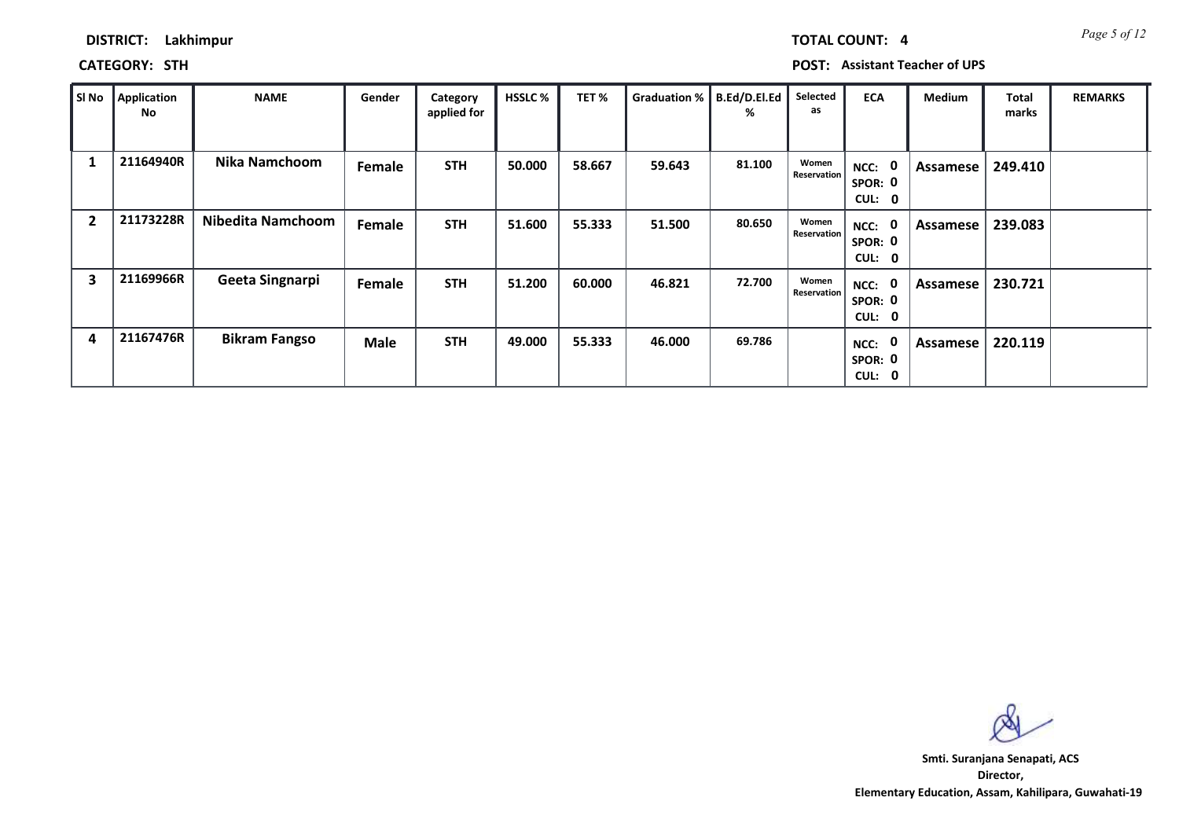**CATEGORY: STH POST: Assistant Teacher of UPS**

| SI No          | Application<br>No | <b>NAME</b>              | Gender      | Category<br>applied for | <b>HSSLC %</b> | TET%   | <b>Graduation %</b> | B.Ed/D.El.Ed<br>% | Selected<br>as       | <b>ECA</b>                               | <b>Medium</b> | <b>Total</b><br>marks | <b>REMARKS</b> |
|----------------|-------------------|--------------------------|-------------|-------------------------|----------------|--------|---------------------|-------------------|----------------------|------------------------------------------|---------------|-----------------------|----------------|
|                | 21164940R         | Nika Namchoom            | Female      | <b>STH</b>              | 50.000         | 58.667 | 59.643              | 81.100            | Women<br>Reservation | $\mathbf 0$<br>NCC:<br>SPOR: 0<br>CUL: 0 | Assamese      | 249.410               |                |
| $\overline{2}$ | 21173228R         | <b>Nibedita Namchoom</b> | Female      | <b>STH</b>              | 51.600         | 55.333 | 51.500              | 80.650            | Women<br>Reservation | $\mathbf 0$<br>NCC:<br>SPOR: 0<br>CUL: 0 | Assamese      | 239.083               |                |
| 3              | 21169966R         | Geeta Singnarpi          | Female      | <b>STH</b>              | 51.200         | 60.000 | 46.821              | 72.700            | Women<br>Reservation | $\mathbf 0$<br>NCC:<br>SPOR: 0<br>CUL: 0 | Assamese      | 230.721               |                |
| 4              | 21167476R         | <b>Bikram Fangso</b>     | <b>Male</b> | <b>STH</b>              | 49.000         | 55.333 | 46.000              | 69.786            |                      | 0<br>NCC:<br>SPOR: 0<br>CUL: 0           | Assamese      | 220.119               |                |

**Director, Elementary Education, Assam, Kahilipara, Guwahati-19 Smti. Suranjana Senapati, ACS**

*Page 5 of 12* **TOTAL COUNT: 4**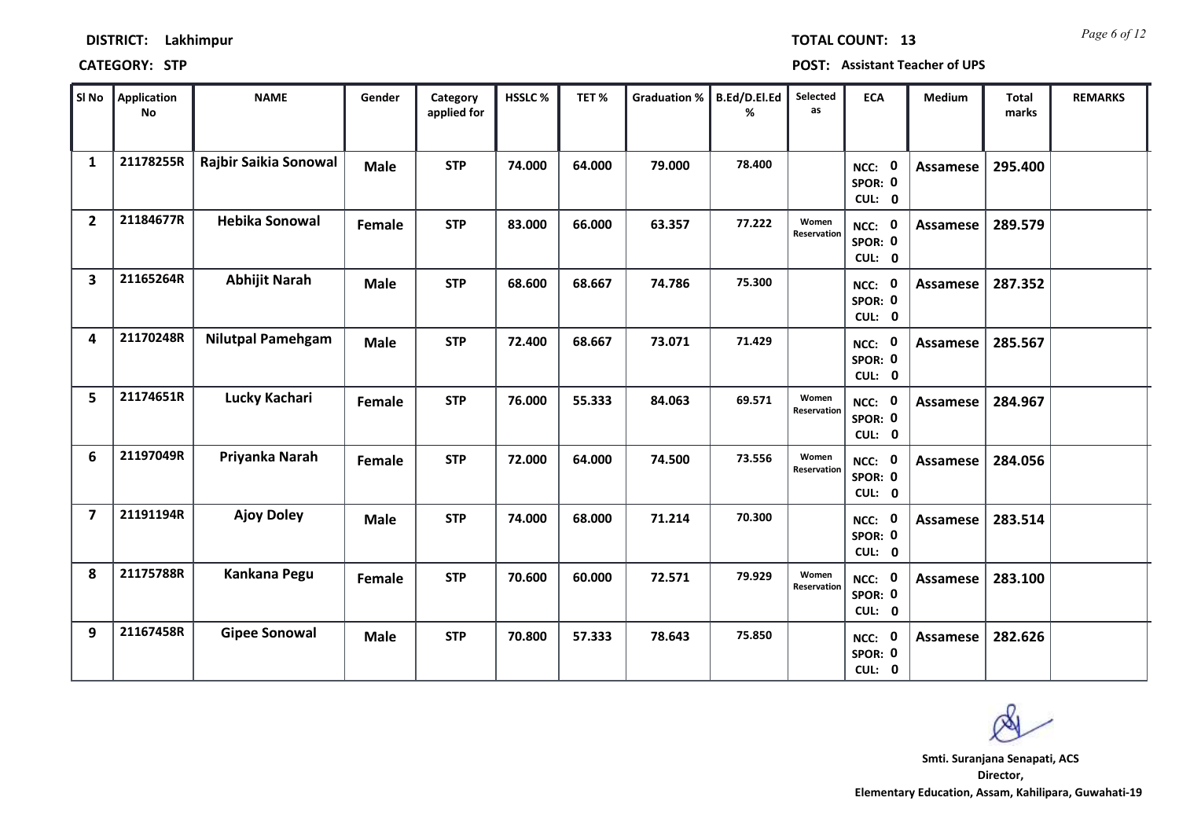| <b>DISTRICT:</b> | Lakhimpur |
|------------------|-----------|
|------------------|-----------|

**CATEGORY: STP POST: Assistant Teacher of UPS**

| SI No                   | <b>Application</b><br><b>No</b> | <b>NAME</b>              | Gender      | Category<br>applied for | <b>HSSLC %</b> | TET%   | <b>Graduation %</b> | <b>B.Ed/D.El.Ed</b><br>% | Selected<br>as       | <b>ECA</b>                               | Medium          | <b>Total</b><br>marks | <b>REMARKS</b> |
|-------------------------|---------------------------------|--------------------------|-------------|-------------------------|----------------|--------|---------------------|--------------------------|----------------------|------------------------------------------|-----------------|-----------------------|----------------|
| $\mathbf{1}$            | 21178255R                       | Rajbir Saikia Sonowal    | <b>Male</b> | <b>STP</b>              | 74.000         | 64.000 | 79.000              | 78.400                   |                      | NCC: 0<br>SPOR: 0<br>CUL: 0              | <b>Assamese</b> | 295.400               |                |
| $\overline{2}$          | 21184677R                       | <b>Hebika Sonowal</b>    | Female      | <b>STP</b>              | 83.000         | 66.000 | 63.357              | 77.222                   | Women<br>Reservation | NCC: 0<br>SPOR: 0<br>CUL: 0              | <b>Assamese</b> | 289.579               |                |
| $\overline{\mathbf{3}}$ | 21165264R                       | <b>Abhijit Narah</b>     | <b>Male</b> | <b>STP</b>              | 68.600         | 68.667 | 74.786              | 75.300                   |                      | NCC: 0<br>SPOR: 0<br>CUL: 0              | <b>Assamese</b> | 287.352               |                |
| 4                       | 21170248R                       | <b>Nilutpal Pamehgam</b> | <b>Male</b> | <b>STP</b>              | 72.400         | 68.667 | 73.071              | 71.429                   |                      | $\mathbf 0$<br>NCC:<br>SPOR: 0<br>CUL: 0 | <b>Assamese</b> | 285.567               |                |
| 5                       | 21174651R                       | Lucky Kachari            | Female      | <b>STP</b>              | 76.000         | 55.333 | 84.063              | 69.571                   | Women<br>Reservation | NCC: 0<br>SPOR: 0<br>CUL: 0              | <b>Assamese</b> | 284.967               |                |
| 6                       | 21197049R                       | Priyanka Narah           | Female      | <b>STP</b>              | 72.000         | 64.000 | 74.500              | 73.556                   | Women<br>Reservation | NCC: 0<br>SPOR: 0<br>CUL: 0              | <b>Assamese</b> | 284.056               |                |
| $\overline{7}$          | 21191194R                       | <b>Ajoy Doley</b>        | <b>Male</b> | <b>STP</b>              | 74.000         | 68.000 | 71.214              | 70.300                   |                      | NCC: 0<br>SPOR: 0<br>CUL: 0              | <b>Assamese</b> | 283.514               |                |
| 8                       | 21175788R                       | Kankana Pegu             | Female      | <b>STP</b>              | 70.600         | 60.000 | 72.571              | 79.929                   | Women<br>Reservation | <b>NCC: 0</b><br>SPOR: 0<br>CUL: 0       | <b>Assamese</b> | 283.100               |                |
| 9                       | 21167458R                       | <b>Gipee Sonowal</b>     | <b>Male</b> | <b>STP</b>              | 70.800         | 57.333 | 78.643              | 75.850                   |                      | <b>NCC: 0</b><br>SPOR: 0<br>CUL: 0       | <b>Assamese</b> | 282.626               |                |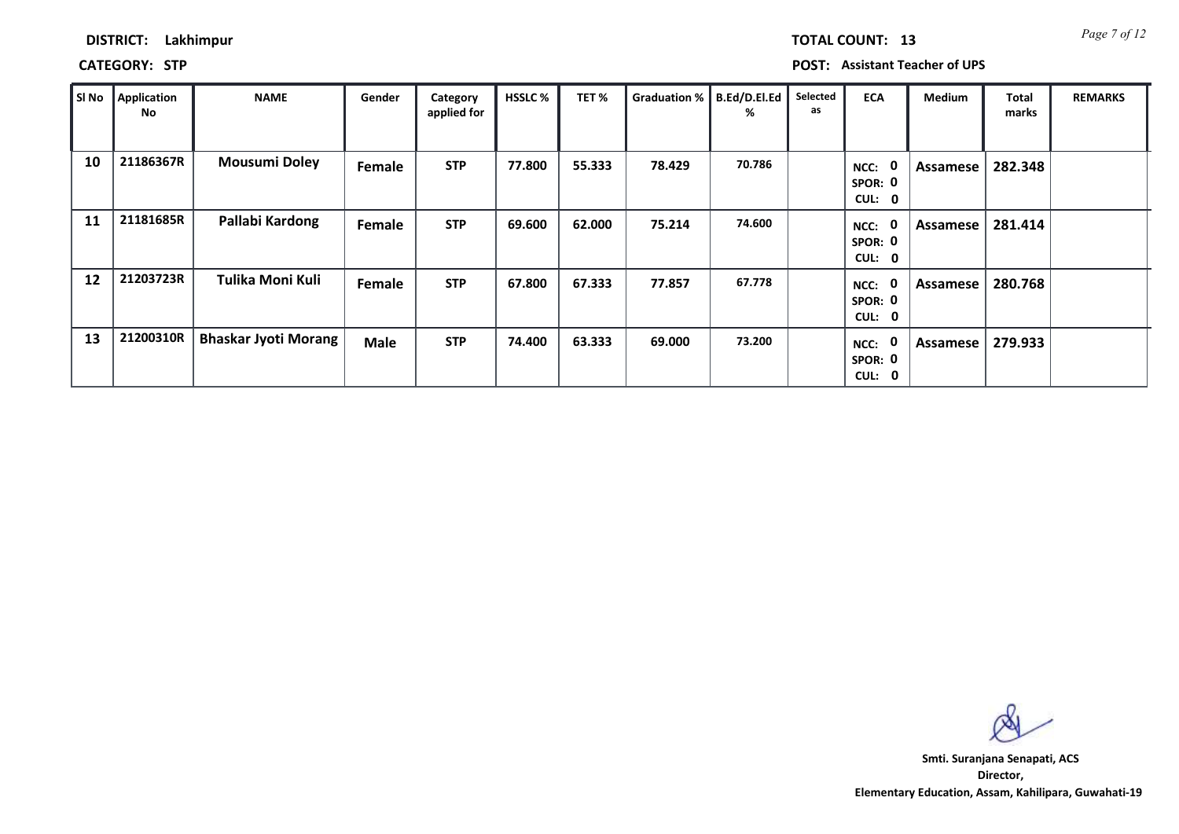## **CATEGORY: STP POST: Assistant Teacher of UPS**

| Sl No | <b>Application</b><br>No | <b>NAME</b>                 | Gender        | Category<br>applied for | <b>HSSLC %</b> | TET%   | <b>Graduation %</b> | B.Ed/D.El.Ed<br>℅ | Selected<br>as | <b>ECA</b>                               | <b>Medium</b> | <b>Total</b><br>marks | <b>REMARKS</b> |
|-------|--------------------------|-----------------------------|---------------|-------------------------|----------------|--------|---------------------|-------------------|----------------|------------------------------------------|---------------|-----------------------|----------------|
| 10    | 21186367R                | <b>Mousumi Doley</b>        | <b>Female</b> | <b>STP</b>              | 77.800         | 55.333 | 78.429              | 70.786            |                | $\mathbf 0$<br>NCC:<br>SPOR: 0<br>CUL: 0 | Assamese      | 282.348               |                |
| 11    | 21181685R                | Pallabi Kardong             | Female        | <b>STP</b>              | 69.600         | 62.000 | 75.214              | 74.600            |                | $\mathbf 0$<br>NCC:<br>SPOR: 0<br>CUL: 0 | Assamese      | 281.414               |                |
| 12    | 21203723R                | Tulika Moni Kuli            | Female        | <b>STP</b>              | 67.800         | 67.333 | 77.857              | 67.778            |                | $\mathbf 0$<br>NCC:<br>SPOR: 0<br>CUL: 0 | Assamese      | 280.768               |                |
| 13    | 21200310R                | <b>Bhaskar Jyoti Morang</b> | <b>Male</b>   | <b>STP</b>              | 74.400         | 63.333 | 69.000              | 73.200            |                | $\mathbf 0$<br>NCC:<br>SPOR: 0<br>CUL: 0 | Assamese      | 279.933               |                |

**Director, Elementary Education, Assam, Kahilipara, Guwahati-19 Smti. Suranjana Senapati, ACS**

*Page 7 of 12* **TOTAL COUNT: 13**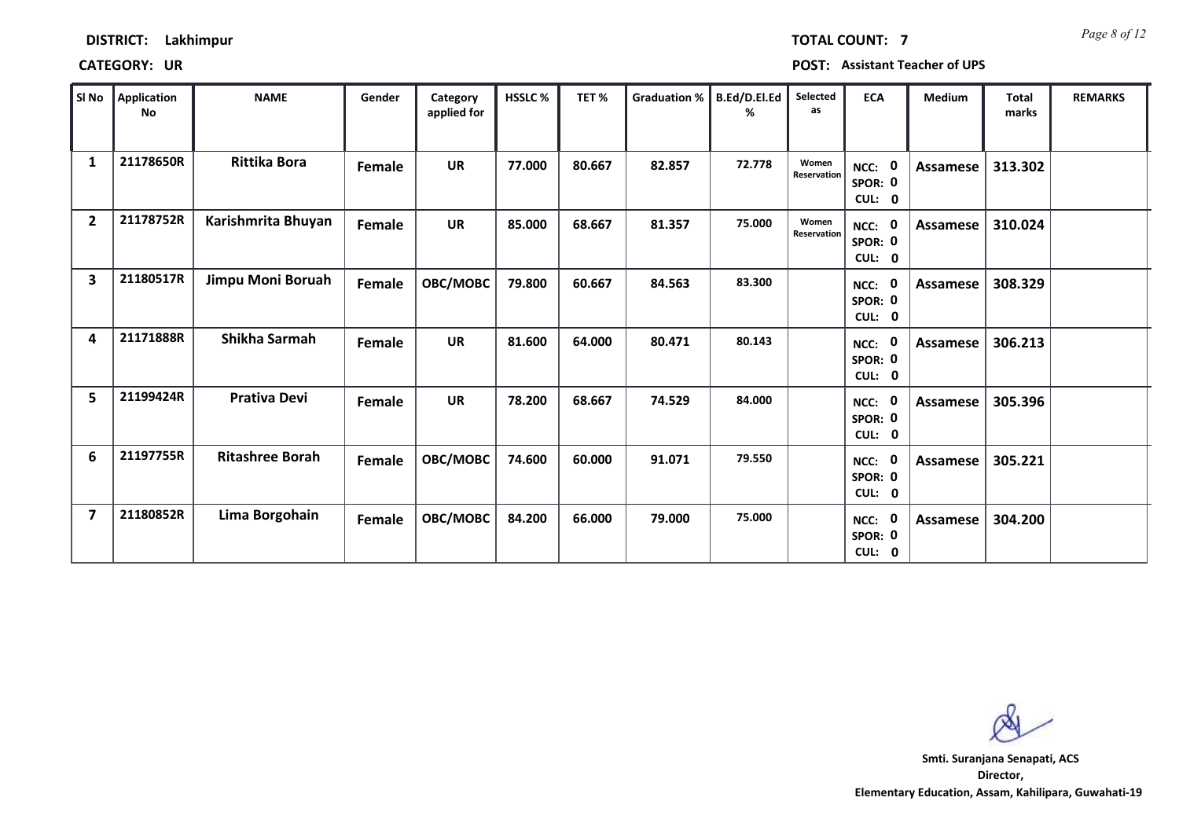| DISTRICT: | Lakhimpur |
|-----------|-----------|
|-----------|-----------|

*Page 8 of 12* **TOTAL COUNT: 7**

**CATEGORY: UR POST: Assistant Teacher of UPS**

| SI No                   | <b>Application</b><br>No | <b>NAME</b>            | Gender | Category<br>applied for | HSSLC% | TET%   | <b>Graduation %</b> | B.Ed/D.El.Ed<br>℅ | Selected<br>as       | <b>ECA</b>                               | Medium          | <b>Total</b><br>marks | <b>REMARKS</b> |
|-------------------------|--------------------------|------------------------|--------|-------------------------|--------|--------|---------------------|-------------------|----------------------|------------------------------------------|-----------------|-----------------------|----------------|
| $\mathbf{1}$            | 21178650R                | <b>Rittika Bora</b>    | Female | <b>UR</b>               | 77.000 | 80.667 | 82.857              | 72.778            | Women<br>Reservation | NCC: 0<br>SPOR: 0<br>CUL: 0              | <b>Assamese</b> | 313.302               |                |
| $\overline{2}$          | 21178752R                | Karishmrita Bhuyan     | Female | <b>UR</b>               | 85.000 | 68.667 | 81.357              | 75.000            | Women<br>Reservation | NCC: 0<br>SPOR: 0<br>CUL: 0              | <b>Assamese</b> | 310.024               |                |
| $\overline{\mathbf{3}}$ | 21180517R                | Jimpu Moni Boruah      | Female | OBC/MOBC                | 79.800 | 60.667 | 84.563              | 83.300            |                      | NCC: 0<br>SPOR: 0<br>CUL: 0              | <b>Assamese</b> | 308.329               |                |
| 4                       | 21171888R                | Shikha Sarmah          | Female | <b>UR</b>               | 81.600 | 64.000 | 80.471              | 80.143            |                      | NCC: 0<br>SPOR: 0<br>CUL: 0              | <b>Assamese</b> | 306.213               |                |
| 5                       | 21199424R                | <b>Prativa Devi</b>    | Female | <b>UR</b>               | 78.200 | 68.667 | 74.529              | 84.000            |                      | $\mathbf 0$<br>NCC:<br>SPOR: 0<br>CUL: 0 | Assamese        | 305.396               |                |
| 6                       | 21197755R                | <b>Ritashree Borah</b> | Female | OBC/MOBC                | 74.600 | 60.000 | 91.071              | 79.550            |                      | $\mathbf 0$<br>NCC:<br>SPOR: 0<br>CUL: 0 | Assamese        | 305.221               |                |
| 7                       | 21180852R                | Lima Borgohain         | Female | OBC/MOBC                | 84.200 | 66.000 | 79.000              | 75.000            |                      | $\mathbf 0$<br>NCC:<br>SPOR: 0<br>CUL: 0 | <b>Assamese</b> | 304.200               |                |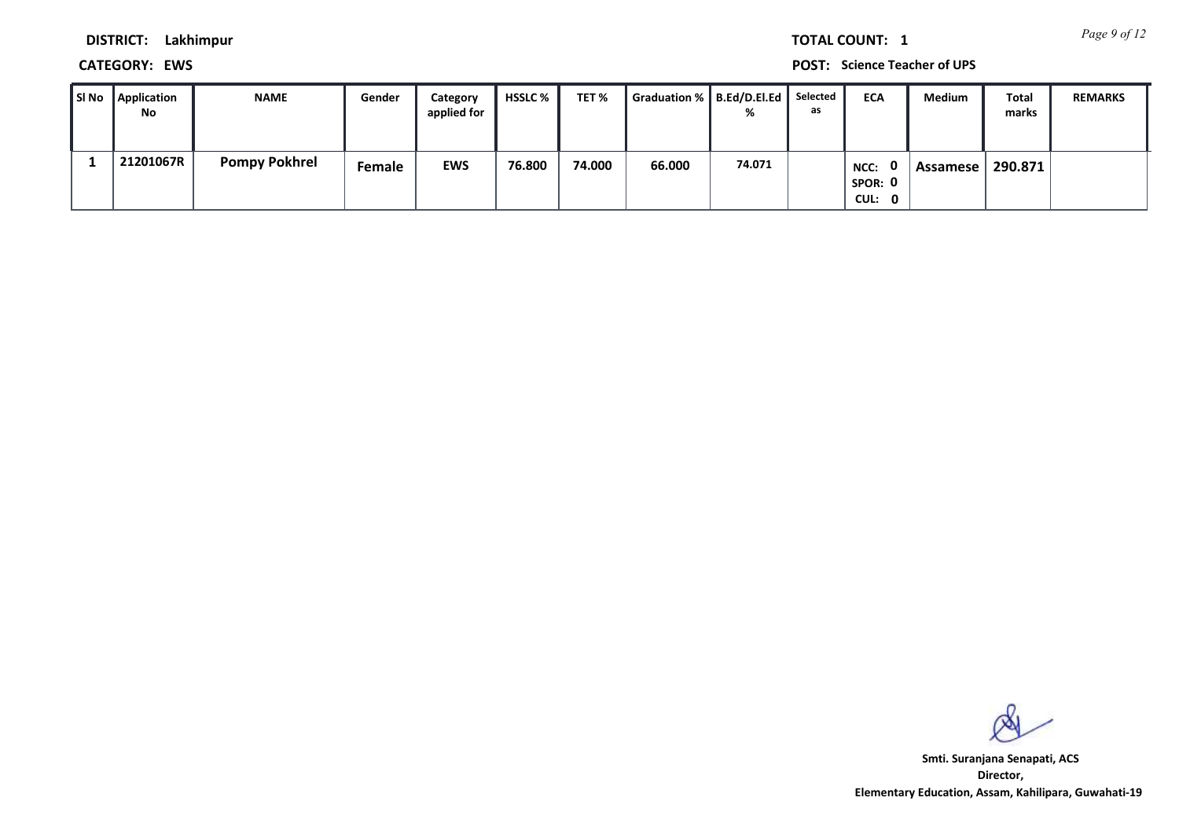*Page 9 of 12* **TOTAL COUNT: 1**

**DISTRICT: Lakhimpur**

**CATEGORY: EWS POST: Science Teacher of UPS**

| SI No Application<br>No | <b>NAME</b>          | Gender | Category<br>applied for | <b>HSSLC</b> % | TET %  | Graduation %   B.Ed/D.El.Ed   Selected | %      | as | <b>ECA</b>                | Medium   | Total<br>marks | <b>REMARKS</b> |
|-------------------------|----------------------|--------|-------------------------|----------------|--------|----------------------------------------|--------|----|---------------------------|----------|----------------|----------------|
| 21201067R               | <b>Pompy Pokhrel</b> | Female | <b>EWS</b>              | 76.800         | 74.000 | 66.000                                 | 74.071 |    | NCC:<br>SPOR: 0<br>CUL: 0 | Assamese | 290.871        |                |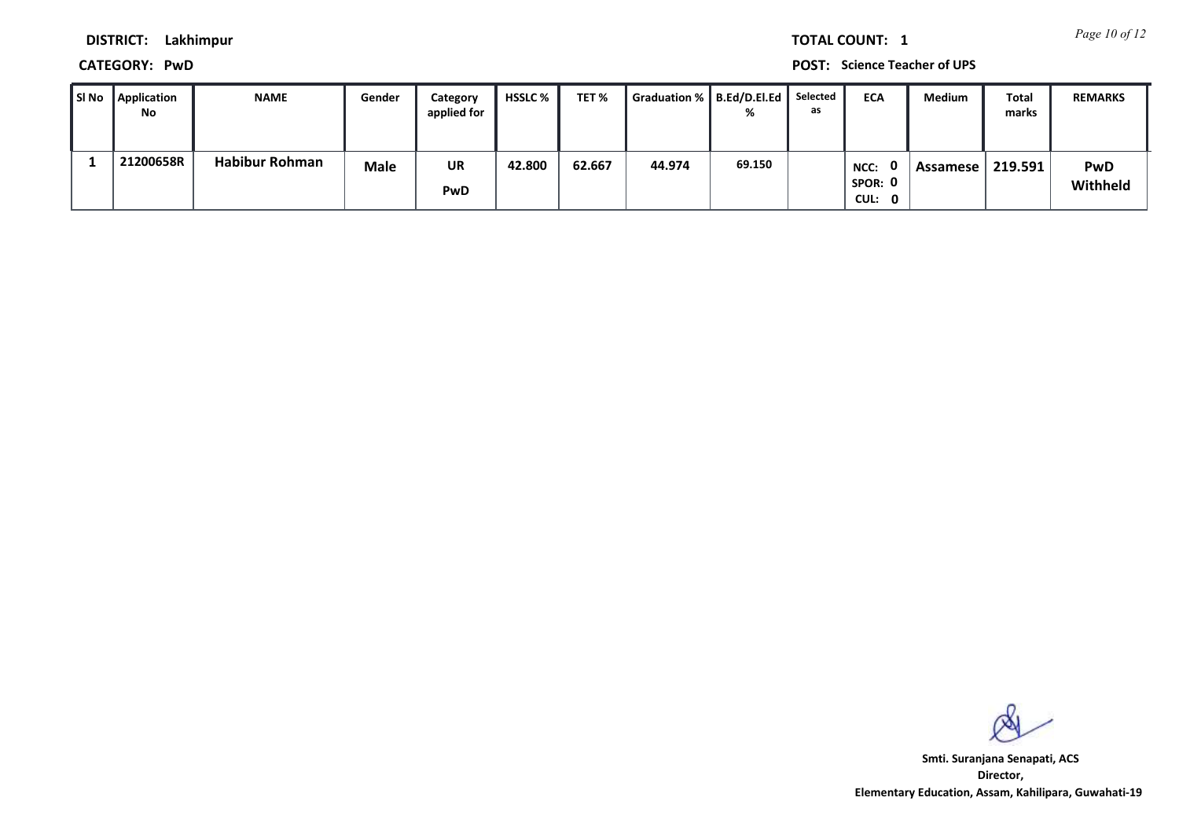*Page 10 of 12* **TOTAL COUNT: 1**

**DISTRICT: Lakhimpur**

**CATEGORY: PwD POST: Science Teacher of UPS**

| SI No | Application<br>No | <b>NAME</b>           | Gender      | Category<br>applied for | <b>HSSLC</b> % | TET %  | Graduation %   B.Ed/D.El.Ed |        | Selected<br>as | <b>ECA</b>                | Medium   | Total<br>marks | <b>REMARKS</b>         |
|-------|-------------------|-----------------------|-------------|-------------------------|----------------|--------|-----------------------------|--------|----------------|---------------------------|----------|----------------|------------------------|
|       | 21200658R         | <b>Habibur Rohman</b> | <b>Male</b> | UR<br>PwD               | 42.800         | 62.667 | 44.974                      | 69.150 |                | NCC:<br>SPOR: 0<br>CUL: 0 | Assamese | 219.591        | <b>PwD</b><br>Withheld |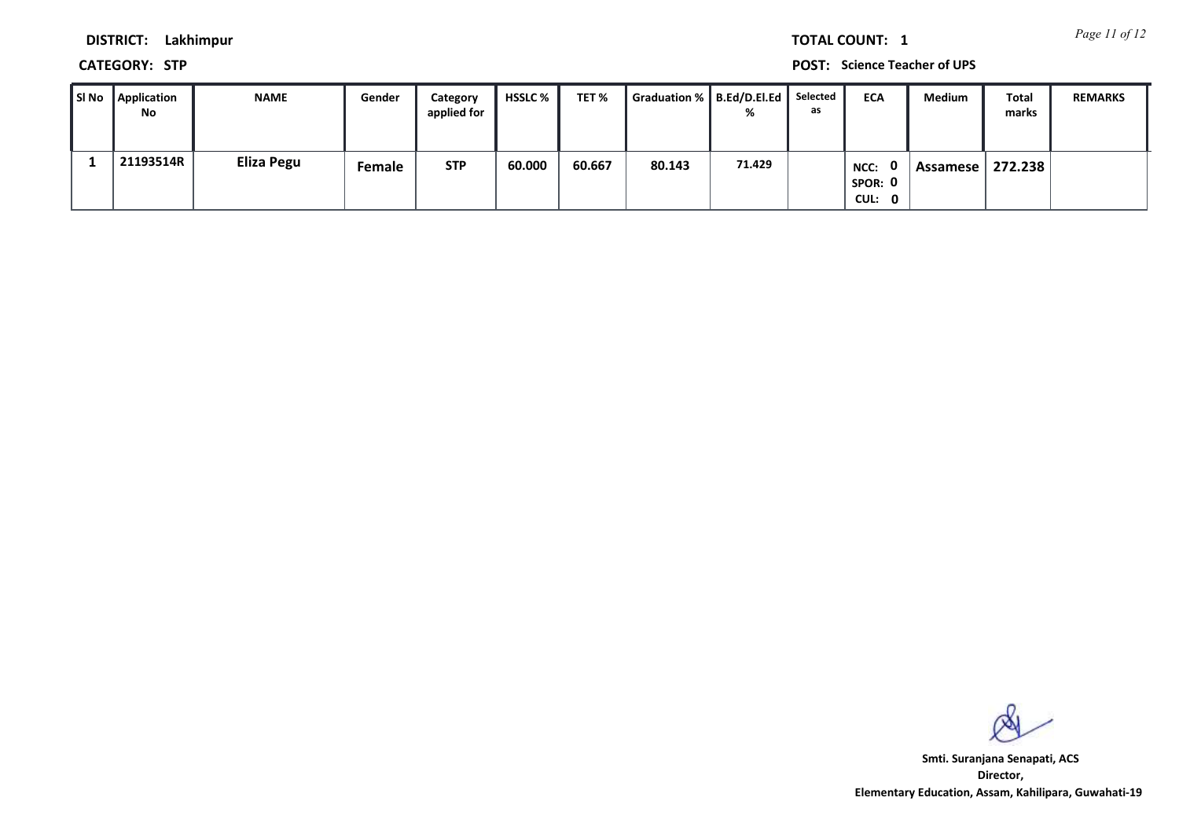*Page 11 of 12* **TOTAL COUNT: 1**

**DISTRICT: Lakhimpur**

**CATEGORY: STP POST: Science Teacher of UPS**

| SI No Application<br><b>No</b> | NAME       | Gender | Category<br>applied for | HSSLC % | TET%   | Graduation %   B.Ed/D.El.Ed |        | Selected<br>as | <b>ECA</b>                | Medium          | Total<br>marks | <b>REMARKS</b> |
|--------------------------------|------------|--------|-------------------------|---------|--------|-----------------------------|--------|----------------|---------------------------|-----------------|----------------|----------------|
| 21193514R                      | Eliza Pegu | Female | <b>STP</b>              | 60.000  | 60.667 | 80.143                      | 71.429 |                | NCC:<br>SPOR: 0<br>CUL: 0 | <b>Assamese</b> | 272.238        |                |